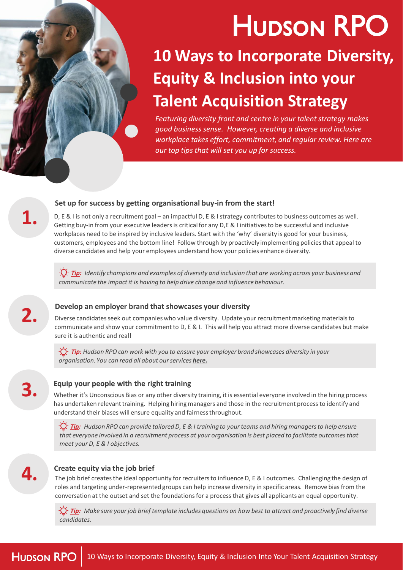# **HUDSON RPO**

# **10 Ways to Incorporate Diversity, Equity & Inclusion into your Talent Acquisition Strategy**

*Featuring diversity front and centre in your talent strategy makes good business sense. However, creating a diverse and inclusive workplace takes effort, commitment, and regular review. Here are our top tips that will set you up for success.*

### **Set up for success by getting organisational buy-in from the start!**

**1.** D, E & I is not only a recruitment goal – an impactful D, E & I strategy contributes to business outcomes as well. Getting buy-in from your executive leaders is critical for any D,E & I initiatives to be successful and inclusive workplaces need to be inspired by inclusive leaders. Start with the 'why' diversity is good for your business, customers, employees and the bottom line! Follow through by proactively implementing policies that appeal to diverse candidates and help your employees understand how your policies enhance diversity.

*Tip: Identify champions and examples of diversity and inclusion that are working across your business and communicate the impact it is having to help drive change and influence behaviour.*

## **Develop an employer brand that showcases your diversity**

**2.** Diverse candidates seek out companies who value diversity. Update your recruitment marketing materials to communicate and show your commitment to D, E & I. This will help you attract more diverse candidates but make sure it is authentic and real!

> *Tip: Hudson RPO can work with you to ensure your employer brand showcases diversity in your organisation. You can read all about our services [here.](https://ap.hudsonrpo.com/rpo-services/employer-branding/)*

#### **Equip your people with the right training**

**3.** Whether it's Unconscious Bias or any other diversity training, it is essential everyone involved in the hiring process has undertaken relevant training. Helping hiring managers and those in the recruitment process to identify and understand their biases will ensure equality and fairness throughout.

> *Tip: Hudson RPO can provide tailored D, E & I training to your teams and hiring managers to help ensure that everyone involved in a recruitment process at your organisation is best placed to facilitate outcomes that meet your D, E & I objectives.*

#### **Create equity via the job brief**

**4.** The job brief creates the ideal opportunity for recruiters to influence D, E & I outcomes. Challenging the design of roles and targeting under-represented groups can help increase diversity in specific areas. Remove bias from the conversation at the outset and set the foundations for a process that gives all applicants an equal opportunity.

*Tip: Make sure your job brief template includes questions on how best to attract and proactively find diverse candidates.*